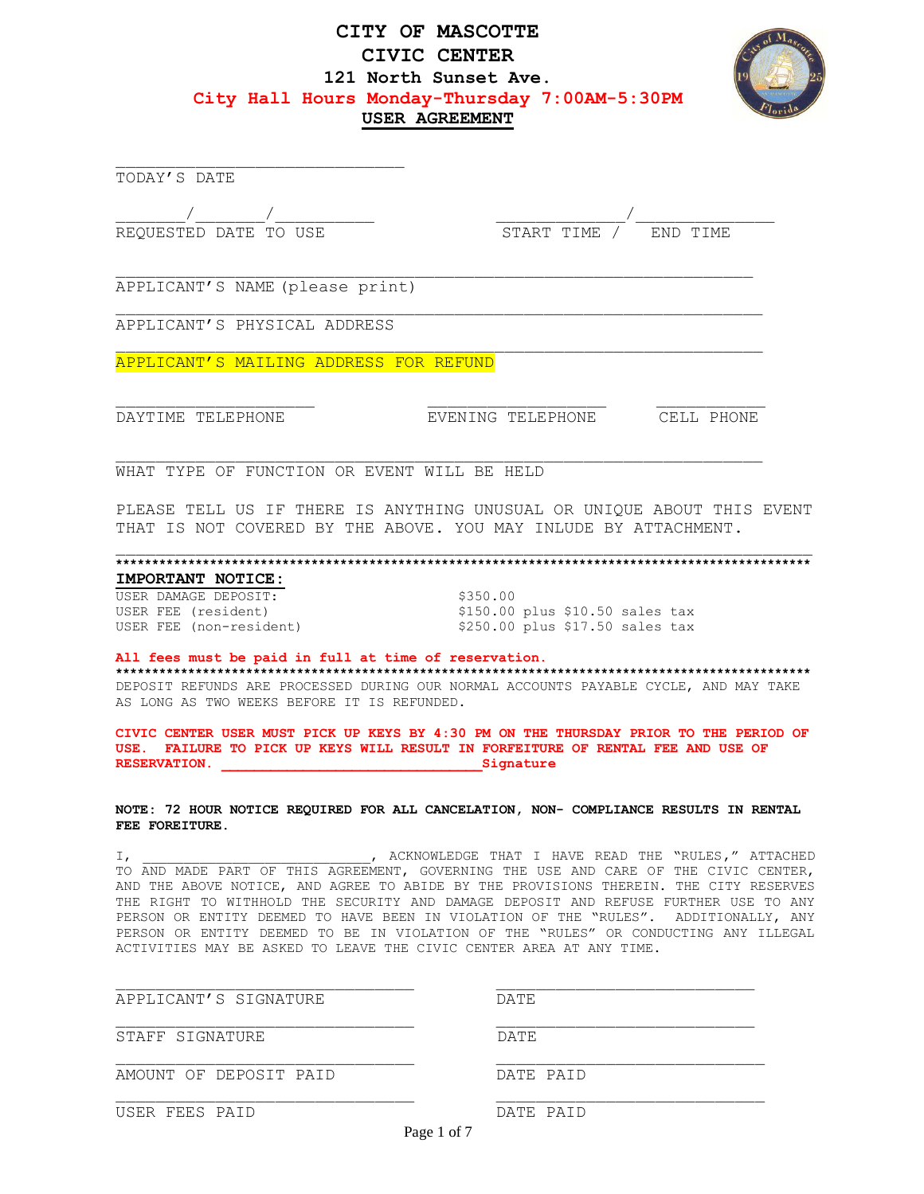# **CITY OF MASCOTTE CIVIC CENTER 121 North Sunset Ave. City Hall Hours Monday-Thursday 7:00AM-5:30PM USER AGREEMENT**



TODAY'S DATE

 $\frac{1}{\sqrt{1-\frac{1}{\sqrt{1-\frac{1}{\sqrt{1-\frac{1}{\sqrt{1-\frac{1}{\sqrt{1-\frac{1}{\sqrt{1-\frac{1}{\sqrt{1-\frac{1}{\sqrt{1-\frac{1}{\sqrt{1-\frac{1}{\sqrt{1-\frac{1}{\sqrt{1-\frac{1}{\sqrt{1-\frac{1}{\sqrt{1-\frac{1}{\sqrt{1-\frac{1}{\sqrt{1-\frac{1}{\sqrt{1-\frac{1}{\sqrt{1-\frac{1}{\sqrt{1-\frac{1}{\sqrt{1-\frac{1}{\sqrt{1-\frac{1}{\sqrt{1-\frac{1}{\sqrt{1-\frac{1}{\sqrt{1-\frac{1}{\sqrt{1-\frac{1$ REQUESTED DATE TO USE START TIME / END TIME

APPLICANT'S NAME (please print)

APPLICANT'S PHYSICAL ADDRESS

APPLICANT'S MAILING ADDRESS FOR REFUND

DAYTIME TELEPHONE EVENING TELEPHONE CELL PHONE

WHAT TYPE OF FUNCTION OR EVENT WILL BE HELD

PLEASE TELL US IF THERE IS ANYTHING UNUSUAL OR UNIQUE ABOUT THIS EVENT THAT IS NOT COVERED BY THE ABOVE. YOU MAY INLUDE BY ATTACHMENT.

#### **\*\*\*\*\*\*\*\*\*\*\*\*\*\*\*\*\*\*\*\*\*\*\*\*\*\*\*\*\*\*\*\*\*\*\*\*\*\*\*\*\*\*\*\*\*\*\*\*\*\*\*\*\*\*\*\*\*\*\*\*\*\*\*\*\*\*\*\*\*\*\*\*\*\*\*\*\*\*\*\*\*\*\*\*\*\*\*\*\*\*\*\*\*\*\*\***

## **IMPORTANT NOTICE:**

USER DAMAGE DEPOSIT: \$350.00<br>
USER FEE (resident) \$150.00<br>
USER FEE (non-resident) \$250.00

\$150.00 plus \$10.50 sales tax  $$250.00$  plus  $$17.50$  sales tax

### **All fees must be paid in full at time of reservation.**

**\*\*\*\*\*\*\*\*\*\*\*\*\*\*\*\*\*\*\*\*\*\*\*\*\*\*\*\*\*\*\*\*\*\*\*\*\*\*\*\*\*\*\*\*\*\*\*\*\*\*\*\*\*\*\*\*\*\*\*\*\*\*\*\*\*\*\*\*\*\*\*\*\*\*\*\*\*\*\*\*\*\*\*\*\*\*\*\*\*\*\*\*\*\*\*\*** DEPOSIT REFUNDS ARE PROCESSED DURING OUR NORMAL ACCOUNTS PAYABLE CYCLE, AND MAY TAKE AS LONG AS TWO WEEKS BEFORE IT IS REFUNDED.

**CIVIC CENTER USER MUST PICK UP KEYS BY 4:30 PM ON THE THURSDAY PRIOR TO THE PERIOD OF USE. FAILURE TO PICK UP KEYS WILL RESULT IN FORFEITURE OF RENTAL FEE AND USE OF RESERVATION. \_\_\_\_\_\_\_\_\_\_\_\_\_\_\_\_\_\_\_\_\_\_\_\_\_\_\_\_\_\_\_\_Signature**

**NOTE: 72 HOUR NOTICE REQUIRED FOR ALL CANCELATION, NON- COMPLIANCE RESULTS IN RENTAL FEE FOREITURE.** 

I, THE SECONDUM SECTED OF THAT I HAVE READ THE "RULES," ATTACHED TO AND MADE PART OF THIS AGREEMENT, GOVERNING THE USE AND CARE OF THE CIVIC CENTER, AND THE ABOVE NOTICE, AND AGREE TO ABIDE BY THE PROVISIONS THEREIN. THE CITY RESERVES THE RIGHT TO WITHHOLD THE SECURITY AND DAMAGE DEPOSIT AND REFUSE FURTHER USE TO ANY PERSON OR ENTITY DEEMED TO HAVE BEEN IN VIOLATION OF THE "RULES". ADDITIONALLY, ANY PERSON OR ENTITY DEEMED TO BE IN VIOLATION OF THE "RULES" OR CONDUCTING ANY ILLEGAL ACTIVITIES MAY BE ASKED TO LEAVE THE CIVIC CENTER AREA AT ANY TIME.

| APPLICANT'S SIGNATURE  | DATE.                    |
|------------------------|--------------------------|
| STAFF SIGNATURE        | DATE.                    |
| AMOUNT OF DEPOSIT PAID | DATE PAID                |
| USER FEES PAID         | DATE PAID<br>Page 1 of 7 |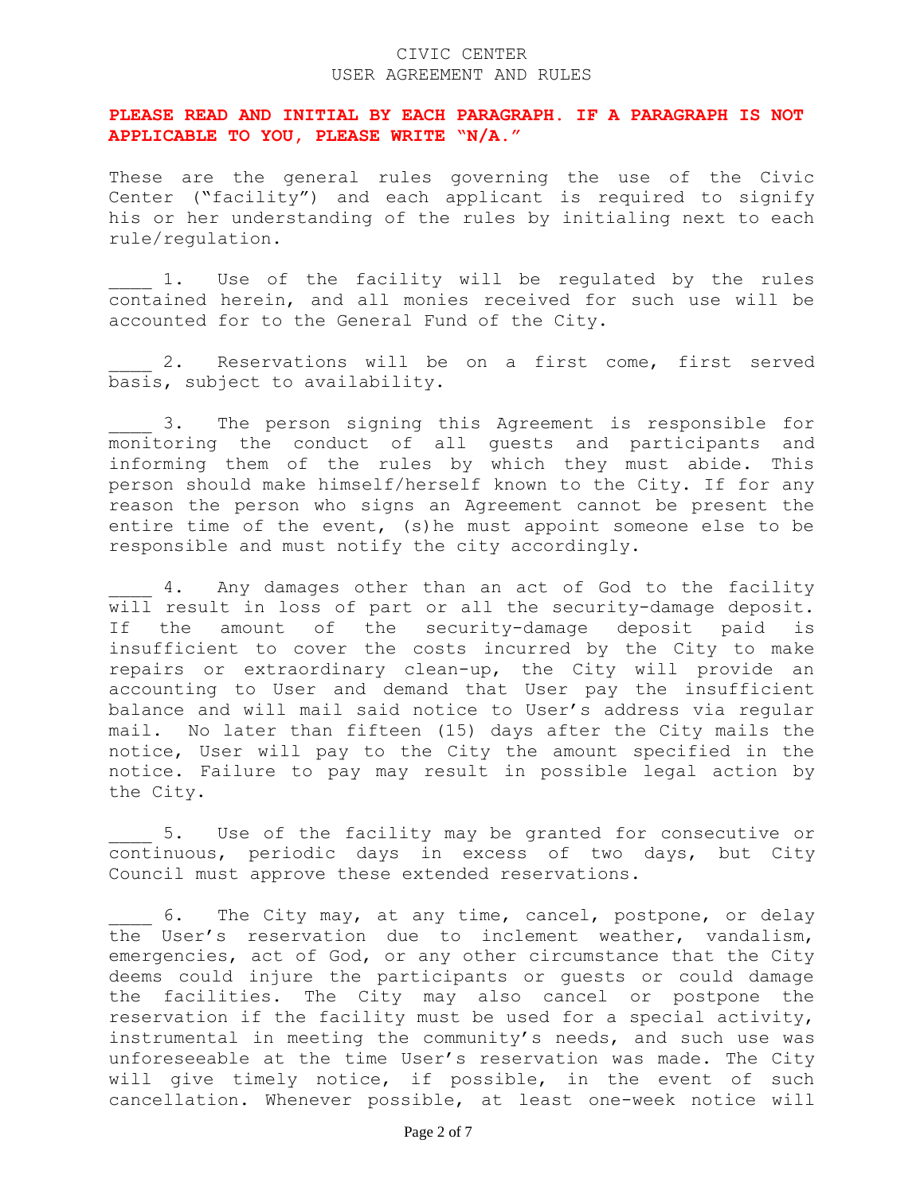### CIVIC CENTER USER AGREEMENT AND RULES

### **PLEASE READ AND INITIAL BY EACH PARAGRAPH. IF A PARAGRAPH IS NOT APPLICABLE TO YOU, PLEASE WRITE "N/A."**

These are the general rules governing the use of the Civic Center ("facility") and each applicant is required to signify his or her understanding of the rules by initialing next to each rule/regulation.

1. Use of the facility will be regulated by the rules contained herein, and all monies received for such use will be accounted for to the General Fund of the City.

2. Reservations will be on a first come, first served basis, subject to availability.

3. The person signing this Agreement is responsible for monitoring the conduct of all guests and participants and informing them of the rules by which they must abide. This person should make himself/herself known to the City. If for any reason the person who signs an Agreement cannot be present the entire time of the event, (s)he must appoint someone else to be responsible and must notify the city accordingly.

4. Any damages other than an act of God to the facility will result in loss of part or all the security-damage deposit. If the amount of the security-damage deposit paid is insufficient to cover the costs incurred by the City to make repairs or extraordinary clean-up, the City will provide an accounting to User and demand that User pay the insufficient balance and will mail said notice to User's address via regular mail. No later than fifteen (15) days after the City mails the notice, User will pay to the City the amount specified in the notice. Failure to pay may result in possible legal action by the City.

5. Use of the facility may be granted for consecutive or continuous, periodic days in excess of two days, but City Council must approve these extended reservations.

6. The City may, at any time, cancel, postpone, or delay the User's reservation due to inclement weather, vandalism, emergencies, act of God, or any other circumstance that the City deems could injure the participants or guests or could damage the facilities. The City may also cancel or postpone the reservation if the facility must be used for a special activity, instrumental in meeting the community's needs, and such use was unforeseeable at the time User's reservation was made. The City will give timely notice, if possible, in the event of such cancellation. Whenever possible, at least one-week notice will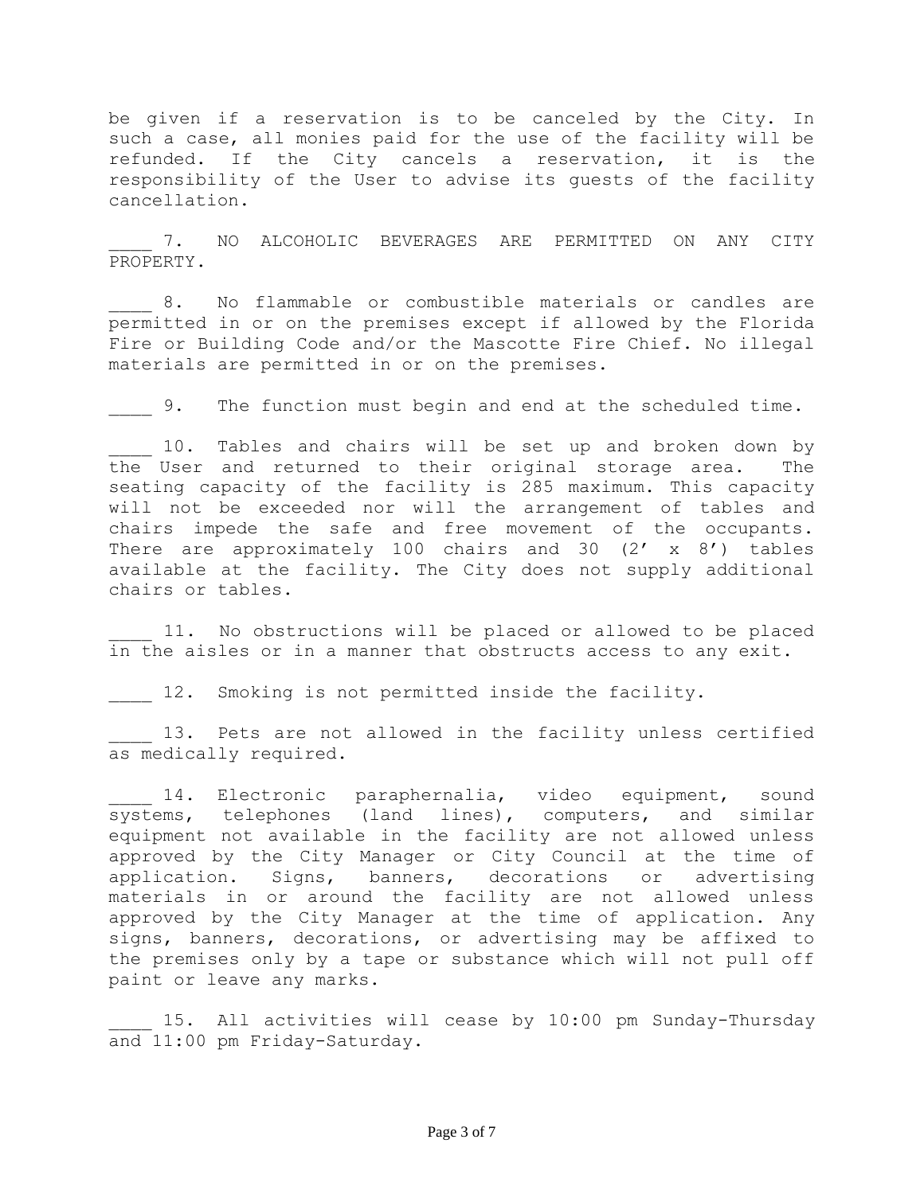be given if a reservation is to be canceled by the City. In such a case, all monies paid for the use of the facility will be refunded. If the City cancels a reservation, it is the responsibility of the User to advise its guests of the facility cancellation.

7. NO ALCOHOLIC BEVERAGES ARE PERMITTED ON ANY CITY PROPERTY.

8. No flammable or combustible materials or candles are permitted in or on the premises except if allowed by the Florida Fire or Building Code and/or the Mascotte Fire Chief. No illegal materials are permitted in or on the premises.

9. The function must begin and end at the scheduled time.

10. Tables and chairs will be set up and broken down by the User and returned to their original storage area. The seating capacity of the facility is 285 maximum. This capacity will not be exceeded nor will the arrangement of tables and chairs impede the safe and free movement of the occupants. There are approximately 100 chairs and 30  $(2' \times 8')$  tables available at the facility. The City does not supply additional chairs or tables.

11. No obstructions will be placed or allowed to be placed in the aisles or in a manner that obstructs access to any exit.

12. Smoking is not permitted inside the facility.

13. Pets are not allowed in the facility unless certified as medically required.

14. Electronic paraphernalia, video equipment, sound systems, telephones (land lines), computers, and similar equipment not available in the facility are not allowed unless approved by the City Manager or City Council at the time of application. Signs, banners, decorations or advertising materials in or around the facility are not allowed unless approved by the City Manager at the time of application. Any signs, banners, decorations, or advertising may be affixed to the premises only by a tape or substance which will not pull off paint or leave any marks.

15. All activities will cease by 10:00 pm Sunday-Thursday and 11:00 pm Friday-Saturday.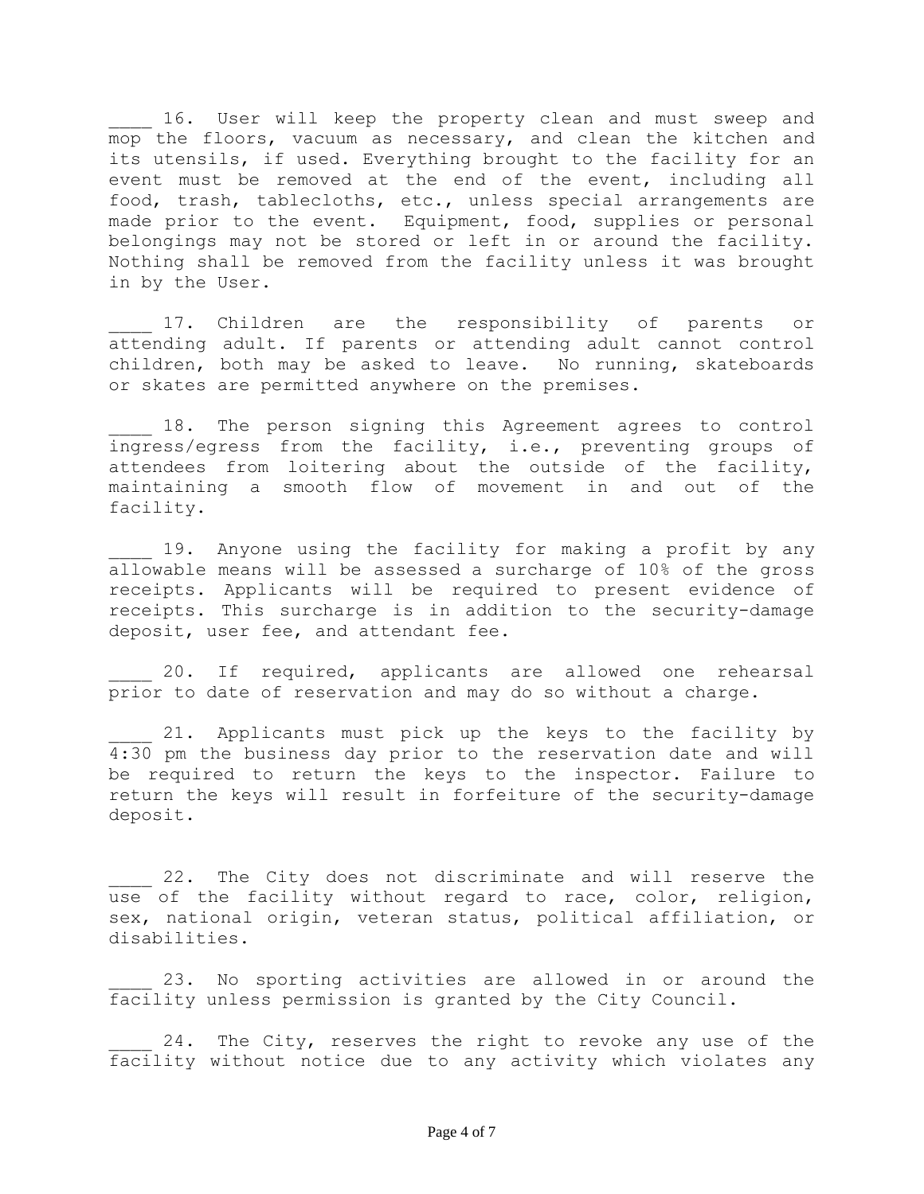16. User will keep the property clean and must sweep and mop the floors, vacuum as necessary, and clean the kitchen and its utensils, if used. Everything brought to the facility for an event must be removed at the end of the event, including all food, trash, tablecloths, etc., unless special arrangements are made prior to the event. Equipment, food, supplies or personal belongings may not be stored or left in or around the facility. Nothing shall be removed from the facility unless it was brought in by the User.

17. Children are the responsibility of parents or attending adult. If parents or attending adult cannot control children, both may be asked to leave. No running, skateboards or skates are permitted anywhere on the premises.

18. The person signing this Agreement agrees to control ingress/egress from the facility, i.e., preventing groups of attendees from loitering about the outside of the facility, maintaining a smooth flow of movement in and out of the facility.

19. Anyone using the facility for making a profit by any allowable means will be assessed a surcharge of 10% of the gross receipts. Applicants will be required to present evidence of receipts. This surcharge is in addition to the security-damage deposit, user fee, and attendant fee.

20. If required, applicants are allowed one rehearsal prior to date of reservation and may do so without a charge.

21. Applicants must pick up the keys to the facility by 4:30 pm the business day prior to the reservation date and will be required to return the keys to the inspector. Failure to return the keys will result in forfeiture of the security-damage deposit.

22. The City does not discriminate and will reserve the use of the facility without regard to race, color, religion, sex, national origin, veteran status, political affiliation, or disabilities.

23. No sporting activities are allowed in or around the facility unless permission is granted by the City Council.

24. The City, reserves the right to revoke any use of the facility without notice due to any activity which violates any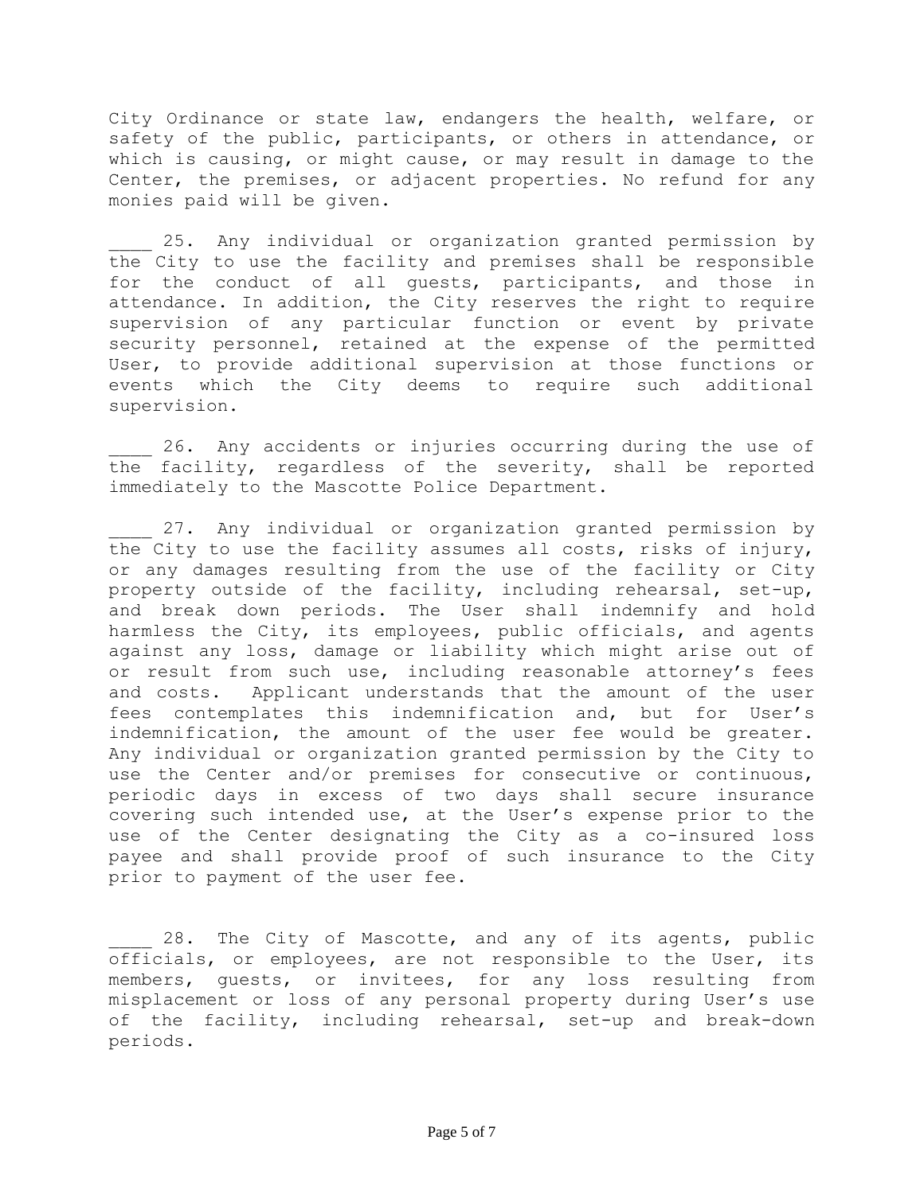City Ordinance or state law, endangers the health, welfare, or safety of the public, participants, or others in attendance, or which is causing, or might cause, or may result in damage to the Center, the premises, or adjacent properties. No refund for any monies paid will be given.

25. Any individual or organization granted permission by the City to use the facility and premises shall be responsible for the conduct of all guests, participants, and those in attendance. In addition, the City reserves the right to require supervision of any particular function or event by private security personnel, retained at the expense of the permitted User, to provide additional supervision at those functions or events which the City deems to require such additional supervision.

26. Any accidents or injuries occurring during the use of the facility, regardless of the severity, shall be reported immediately to the Mascotte Police Department.

27. Any individual or organization granted permission by the City to use the facility assumes all costs, risks of injury, or any damages resulting from the use of the facility or City property outside of the facility, including rehearsal, set-up, and break down periods. The User shall indemnify and hold harmless the City, its employees, public officials, and agents against any loss, damage or liability which might arise out of or result from such use, including reasonable attorney's fees and costs. Applicant understands that the amount of the user fees contemplates this indemnification and, but for User's indemnification, the amount of the user fee would be greater. Any individual or organization granted permission by the City to use the Center and/or premises for consecutive or continuous, periodic days in excess of two days shall secure insurance covering such intended use, at the User's expense prior to the use of the Center designating the City as a co-insured loss payee and shall provide proof of such insurance to the City prior to payment of the user fee.

28. The City of Mascotte, and any of its agents, public officials, or employees, are not responsible to the User, its members, guests, or invitees, for any loss resulting from misplacement or loss of any personal property during User's use of the facility, including rehearsal, set-up and break-down periods.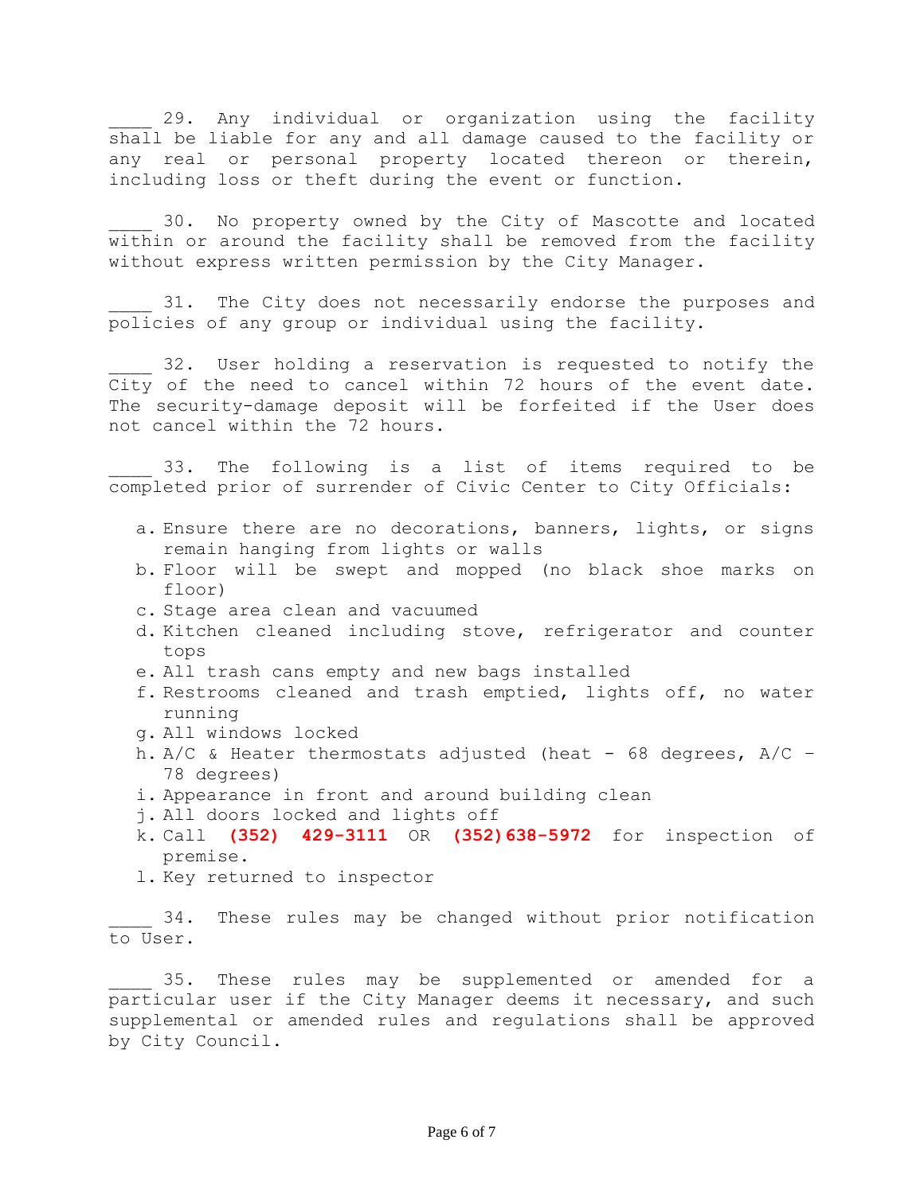29. Any individual or organization using the facility shall be liable for any and all damage caused to the facility or any real or personal property located thereon or therein, including loss or theft during the event or function.

30. No property owned by the City of Mascotte and located within or around the facility shall be removed from the facility without express written permission by the City Manager.

31. The City does not necessarily endorse the purposes and policies of any group or individual using the facility.

32. User holding a reservation is requested to notify the City of the need to cancel within 72 hours of the event date. The security-damage deposit will be forfeited if the User does not cancel within the 72 hours.

33. The following is a list of items required to be completed prior of surrender of Civic Center to City Officials:

- a. Ensure there are no decorations, banners, lights, or signs remain hanging from lights or walls
- b. Floor will be swept and mopped (no black shoe marks on floor)
- c. Stage area clean and vacuumed
- d. Kitchen cleaned including stove, refrigerator and counter tops
- e. All trash cans empty and new bags installed
- f. Restrooms cleaned and trash emptied, lights off, no water running
- g. All windows locked
- h.  $A/C$  & Heater thermostats adjusted (heat 68 degrees,  $A/C$  -78 degrees)
- i. Appearance in front and around building clean
- j. All doors locked and lights off
- k. Call **(352) 429-3111** OR **(352)638-5972** for inspection of premise.
- l. Key returned to inspector

34. These rules may be changed without prior notification to User.

35. These rules may be supplemented or amended for a particular user if the City Manager deems it necessary, and such supplemental or amended rules and regulations shall be approved by City Council.